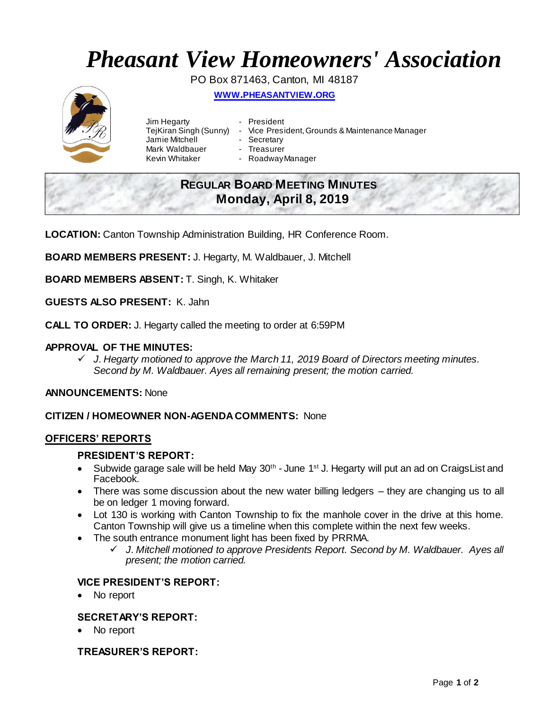# *Pheasant View Homeowners' Association*

PO Box 871463, Canton, MI 48187

**WWW.[PHEASANTVIEW](http://www.pheasantview.org/).ORG**



Jim Hegarty **- President** Jamie Mitchell Mark Waldbauer - Treasurer

- 
- TejKiran Singh (Sunny) Vice President, Grounds & Maintenance Manager
	-
	-
- Kevin Whitaker Roadway Manager

# **REGULAR BOARD MEETING MINUTES Monday, April 8, 2019**

**LOCATION:** Canton Township Administration Building, HR Conference Room.

**BOARD MEMBERS PRESENT:** J. Hegarty, M. Waldbauer, J. Mitchell

**BOARD MEMBERS ABSENT:** T. Singh, K. Whitaker

**GUESTS ALSO PRESENT:** K. Jahn

**CALL TO ORDER:** J. Hegarty called the meeting to order at 6:59PM

### **APPROVAL OF THE MINUTES:**

 *J. Hegarty motioned to approve the March 11, 2019 Board of Directors meeting minutes. Second by M. Waldbauer. Ayes all remaining present; the motion carried.*

#### **ANNOUNCEMENTS:** None

#### **CITIZEN / HOMEOWNER NON-AGENDA COMMENTS:** None

#### **OFFICERS' REPORTS**

#### **PRESIDENT'S REPORT:**

- Subwide garage sale will be held May  $30<sup>th</sup>$  June 1<sup>st</sup> J. Hegarty will put an ad on CraigsList and Facebook.
- There was some discussion about the new water billing ledgers they are changing us to all be on ledger 1 moving forward.
- Lot 130 is working with Canton Township to fix the manhole cover in the drive at this home. Canton Township will give us a timeline when this complete within the next few weeks.
- The south entrance monument light has been fixed by PRRMA.
	- *J. Mitchell motioned to approve Presidents Report. Second by M. Waldbauer. Ayes all present; the motion carried.*

#### **VICE PRESIDENT'S REPORT:**

No report

# **SECRETARY'S REPORT:**

No report

#### **TREASURER'S REPORT:**